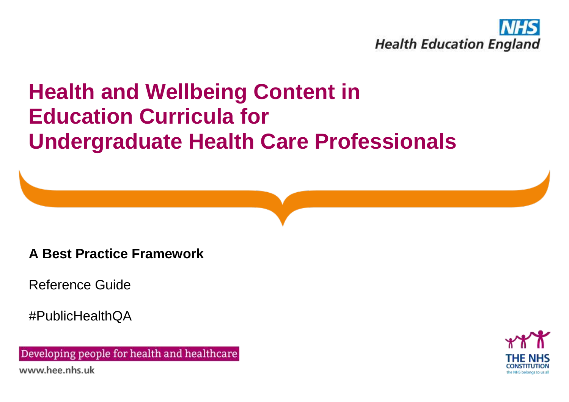

**A Best Practice Framework**

Reference Guide

#PublicHealthQA

Developing people for health and healthcare www.hee.nhs.uk

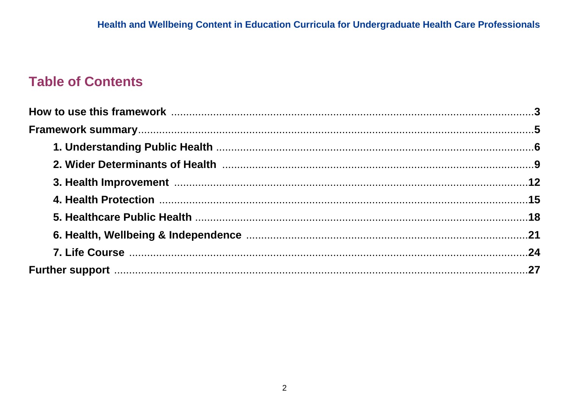# **Table of Contents**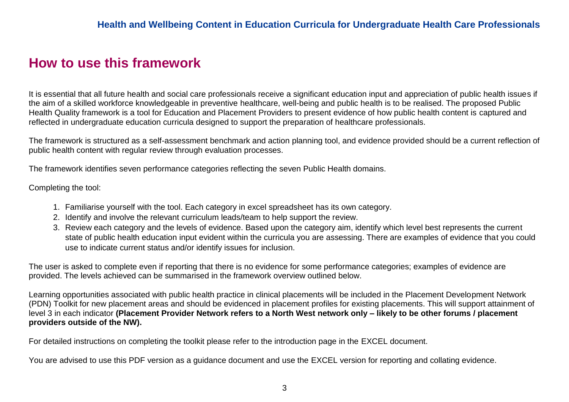# **How to use this framework**

It is essential that all future health and social care professionals receive a significant education input and appreciation of public health issues if the aim of a skilled workforce knowledgeable in preventive healthcare, well-being and public health is to be realised. The proposed Public Health Quality framework is a tool for Education and Placement Providers to present evidence of how public health content is captured and reflected in undergraduate education curricula designed to support the preparation of healthcare professionals.

The framework is structured as a self-assessment benchmark and action planning tool, and evidence provided should be a current reflection of public health content with regular review through evaluation processes.

The framework identifies seven performance categories reflecting the seven Public Health domains.

Completing the tool:

- 1. Familiarise yourself with the tool. Each category in excel spreadsheet has its own category.
- 2. Identify and involve the relevant curriculum leads/team to help support the review.
- 3. Review each category and the levels of evidence. Based upon the category aim, identify which level best represents the current state of public health education input evident within the curricula you are assessing. There are examples of evidence that you could use to indicate current status and/or identify issues for inclusion.

The user is asked to complete even if reporting that there is no evidence for some performance categories; examples of evidence are provided. The levels achieved can be summarised in the framework overview outlined below.

Learning opportunities associated with public health practice in clinical placements will be included in the Placement Development Network (PDN) Toolkit for new placement areas and should be evidenced in placement profiles for existing placements. This will support attainment of level 3 in each indicator **(Placement Provider Network refers to a North West network only – likely to be other forums / placement providers outside of the NW).**

For detailed instructions on completing the toolkit please refer to the introduction page in the EXCEL document.

You are advised to use this PDF version as a guidance document and use the EXCEL version for reporting and collating evidence.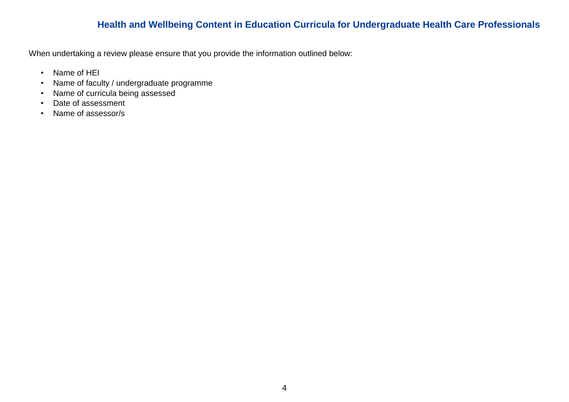When undertaking a review please ensure that you provide the information outlined below:

- Name of HEI
- Name of faculty / undergraduate programme
- Name of curricula being assessed
- Date of assessment
- Name of assessor/s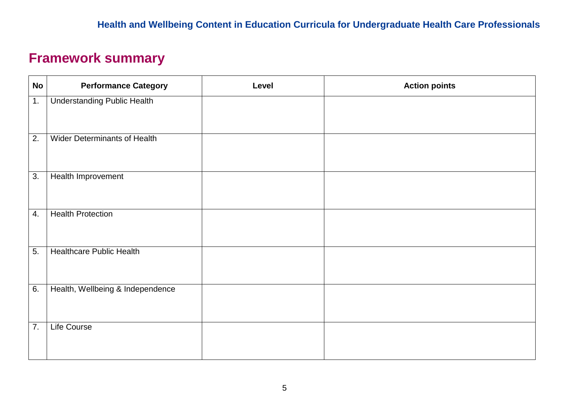# **Framework summary**

| <b>No</b>        | <b>Performance Category</b>         | Level | <b>Action points</b> |
|------------------|-------------------------------------|-------|----------------------|
| 1.               | <b>Understanding Public Health</b>  |       |                      |
| $\overline{2}$ . | <b>Wider Determinants of Health</b> |       |                      |
| 3.               | Health Improvement                  |       |                      |
| 4.               | <b>Health Protection</b>            |       |                      |
| $\overline{5}$ . | <b>Healthcare Public Health</b>     |       |                      |
| 6.               | Health, Wellbeing & Independence    |       |                      |
| $\overline{7}$ . | <b>Life Course</b>                  |       |                      |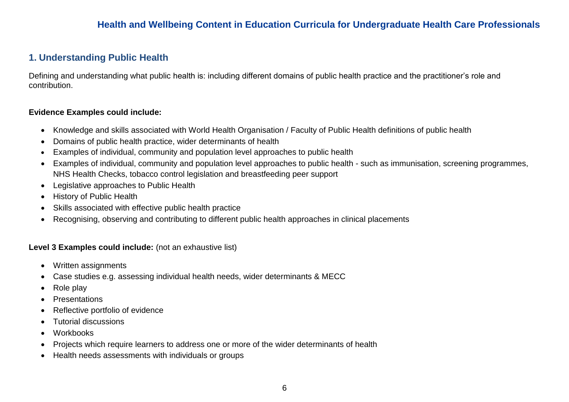### **1. Understanding Public Health**

Defining and understanding what public health is: including different domains of public health practice and the practitioner's role and contribution.

#### **Evidence Examples could include:**

- Knowledge and skills associated with World Health Organisation / Faculty of Public Health definitions of public health
- Domains of public health practice, wider determinants of health
- Examples of individual, community and population level approaches to public health
- Examples of individual, community and population level approaches to public health such as immunisation, screening programmes, NHS Health Checks, tobacco control legislation and breastfeeding peer support
- Legislative approaches to Public Health
- History of Public Health
- Skills associated with effective public health practice
- Recognising, observing and contributing to different public health approaches in clinical placements

- Written assignments
- Case studies e.g. assessing individual health needs, wider determinants & MECC
- Role play
- Presentations
- Reflective portfolio of evidence
- Tutorial discussions
- Workbooks
- Projects which require learners to address one or more of the wider determinants of health
- Health needs assessments with individuals or groups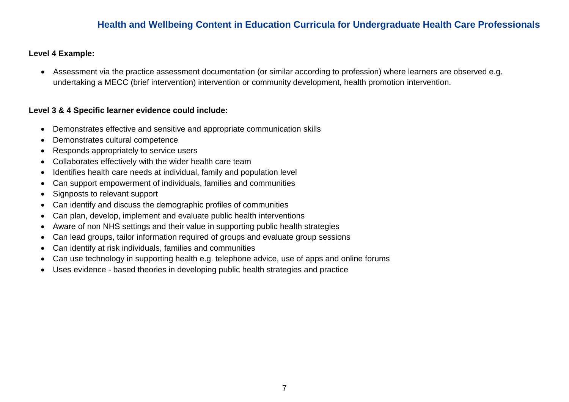#### **Level 4 Example:**

 Assessment via the practice assessment documentation (or similar according to profession) where learners are observed e.g. undertaking a MECC (brief intervention) intervention or community development, health promotion intervention.

- Demonstrates effective and sensitive and appropriate communication skills
- Demonstrates cultural competence
- Responds appropriately to service users
- Collaborates effectively with the wider health care team
- Identifies health care needs at individual, family and population level
- Can support empowerment of individuals, families and communities
- Signposts to relevant support
- Can identify and discuss the demographic profiles of communities
- Can plan, develop, implement and evaluate public health interventions
- Aware of non NHS settings and their value in supporting public health strategies
- Can lead groups, tailor information required of groups and evaluate group sessions
- Can identify at risk individuals, families and communities
- Can use technology in supporting health e.g. telephone advice, use of apps and online forums
- Uses evidence based theories in developing public health strategies and practice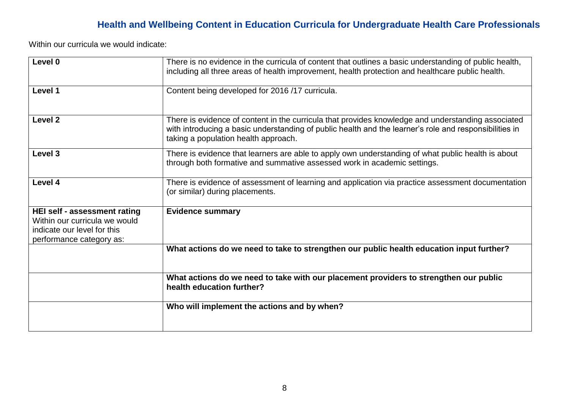| Level 0                                                                                                                  | There is no evidence in the curricula of content that outlines a basic understanding of public health,<br>including all three areas of health improvement, health protection and healthcare public health.                                           |
|--------------------------------------------------------------------------------------------------------------------------|------------------------------------------------------------------------------------------------------------------------------------------------------------------------------------------------------------------------------------------------------|
| Level 1                                                                                                                  | Content being developed for 2016 /17 curricula.                                                                                                                                                                                                      |
| Level <sub>2</sub>                                                                                                       | There is evidence of content in the curricula that provides knowledge and understanding associated<br>with introducing a basic understanding of public health and the learner's role and responsibilities in<br>taking a population health approach. |
| Level <sub>3</sub>                                                                                                       | There is evidence that learners are able to apply own understanding of what public health is about<br>through both formative and summative assessed work in academic settings.                                                                       |
| Level 4                                                                                                                  | There is evidence of assessment of learning and application via practice assessment documentation<br>(or similar) during placements.                                                                                                                 |
| HEI self - assessment rating<br>Within our curricula we would<br>indicate our level for this<br>performance category as: | <b>Evidence summary</b>                                                                                                                                                                                                                              |
|                                                                                                                          | What actions do we need to take to strengthen our public health education input further?                                                                                                                                                             |
|                                                                                                                          | What actions do we need to take with our placement providers to strengthen our public<br>health education further?                                                                                                                                   |
|                                                                                                                          | Who will implement the actions and by when?                                                                                                                                                                                                          |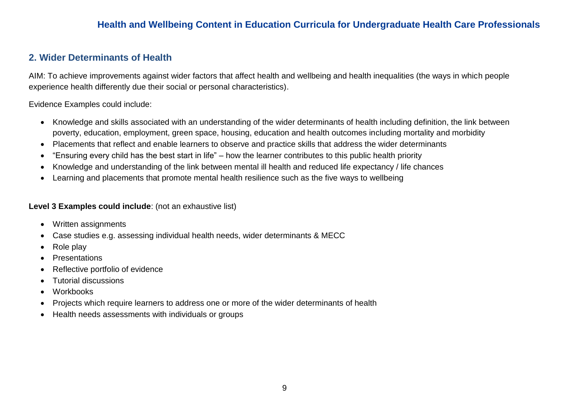### **2. Wider Determinants of Health**

AIM: To achieve improvements against wider factors that affect health and wellbeing and health inequalities (the ways in which people experience health differently due their social or personal characteristics).

Evidence Examples could include:

- Knowledge and skills associated with an understanding of the wider determinants of health including definition, the link between poverty, education, employment, green space, housing, education and health outcomes including mortality and morbidity
- Placements that reflect and enable learners to observe and practice skills that address the wider determinants
- "Ensuring every child has the best start in life" how the learner contributes to this public health priority
- Knowledge and understanding of the link between mental ill health and reduced life expectancy / life chances
- Learning and placements that promote mental health resilience such as the five ways to wellbeing

- Written assignments
- Case studies e.g. assessing individual health needs, wider determinants & MECC
- Role play
- **Presentations**
- Reflective portfolio of evidence
- Tutorial discussions
- Workbooks
- Projects which require learners to address one or more of the wider determinants of health
- Health needs assessments with individuals or groups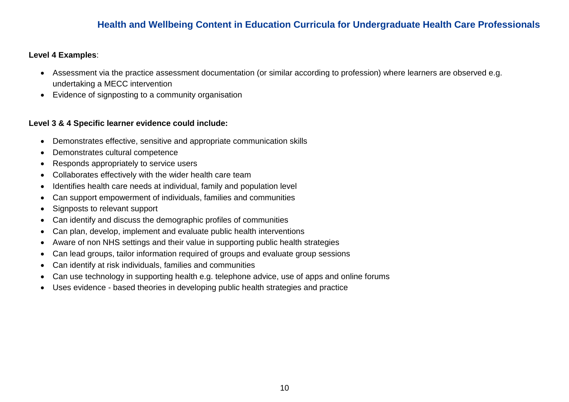#### **Level 4 Examples**:

- Assessment via the practice assessment documentation (or similar according to profession) where learners are observed e.g. undertaking a MECC intervention
- Evidence of signposting to a community organisation

- Demonstrates effective, sensitive and appropriate communication skills
- Demonstrates cultural competence
- Responds appropriately to service users
- Collaborates effectively with the wider health care team
- Identifies health care needs at individual, family and population level
- Can support empowerment of individuals, families and communities
- Signposts to relevant support
- Can identify and discuss the demographic profiles of communities
- Can plan, develop, implement and evaluate public health interventions
- Aware of non NHS settings and their value in supporting public health strategies
- Can lead groups, tailor information required of groups and evaluate group sessions
- Can identify at risk individuals, families and communities
- Can use technology in supporting health e.g. telephone advice, use of apps and online forums
- Uses evidence based theories in developing public health strategies and practice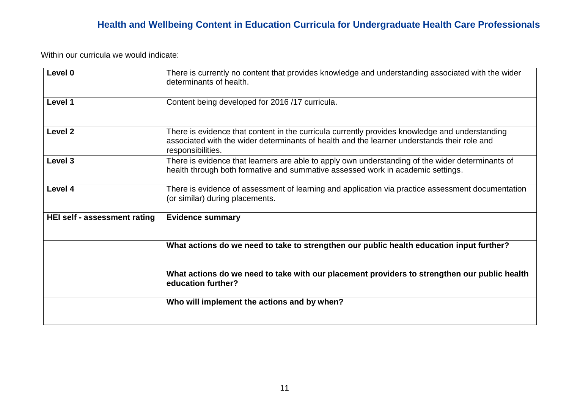| Level 0                      | There is currently no content that provides knowledge and understanding associated with the wider<br>determinants of health.                                                                                       |
|------------------------------|--------------------------------------------------------------------------------------------------------------------------------------------------------------------------------------------------------------------|
| Level 1                      | Content being developed for 2016 /17 curricula.                                                                                                                                                                    |
| Level <sub>2</sub>           | There is evidence that content in the curricula currently provides knowledge and understanding<br>associated with the wider determinants of health and the learner understands their role and<br>responsibilities. |
| Level 3                      | There is evidence that learners are able to apply own understanding of the wider determinants of<br>health through both formative and summative assessed work in academic settings.                                |
| Level 4                      | There is evidence of assessment of learning and application via practice assessment documentation<br>(or similar) during placements.                                                                               |
| HEI self - assessment rating | <b>Evidence summary</b>                                                                                                                                                                                            |
|                              | What actions do we need to take to strengthen our public health education input further?                                                                                                                           |
|                              | What actions do we need to take with our placement providers to strengthen our public health<br>education further?                                                                                                 |
|                              | Who will implement the actions and by when?                                                                                                                                                                        |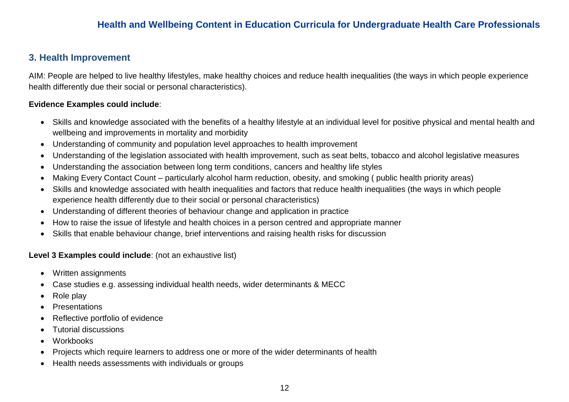### **3. Health Improvement**

AIM: People are helped to live healthy lifestyles, make healthy choices and reduce health inequalities (the ways in which people experience health differently due their social or personal characteristics).

#### **Evidence Examples could include**:

- Skills and knowledge associated with the benefits of a healthy lifestyle at an individual level for positive physical and mental health and wellbeing and improvements in mortality and morbidity
- Understanding of community and population level approaches to health improvement
- Understanding of the legislation associated with health improvement, such as seat belts, tobacco and alcohol legislative measures
- Understanding the association between long term conditions, cancers and healthy life styles
- Making Every Contact Count particularly alcohol harm reduction, obesity, and smoking ( public health priority areas)
- Skills and knowledge associated with health inequalities and factors that reduce health inequalities (the ways in which people experience health differently due to their social or personal characteristics)
- Understanding of different theories of behaviour change and application in practice
- How to raise the issue of lifestyle and health choices in a person centred and appropriate manner
- Skills that enable behaviour change, brief interventions and raising health risks for discussion

- Written assignments
- Case studies e.g. assessing individual health needs, wider determinants & MECC
- Role play
- **Presentations**
- Reflective portfolio of evidence
- Tutorial discussions
- Workbooks
- Projects which require learners to address one or more of the wider determinants of health
- Health needs assessments with individuals or groups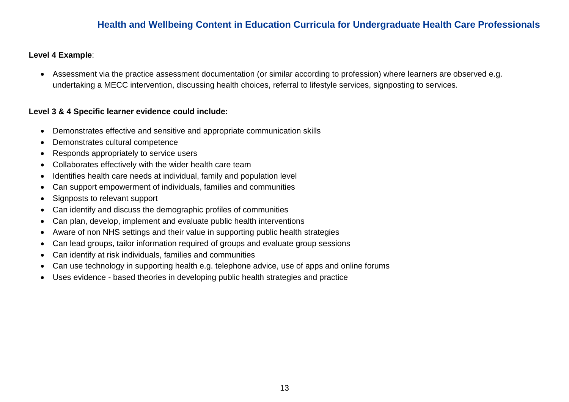#### **Level 4 Example**:

 Assessment via the practice assessment documentation (or similar according to profession) where learners are observed e.g. undertaking a MECC intervention, discussing health choices, referral to lifestyle services, signposting to services.

- Demonstrates effective and sensitive and appropriate communication skills
- Demonstrates cultural competence
- Responds appropriately to service users
- Collaborates effectively with the wider health care team
- Identifies health care needs at individual, family and population level
- Can support empowerment of individuals, families and communities
- Signposts to relevant support
- Can identify and discuss the demographic profiles of communities
- Can plan, develop, implement and evaluate public health interventions
- Aware of non NHS settings and their value in supporting public health strategies
- Can lead groups, tailor information required of groups and evaluate group sessions
- Can identify at risk individuals, families and communities
- Can use technology in supporting health e.g. telephone advice, use of apps and online forums
- Uses evidence based theories in developing public health strategies and practice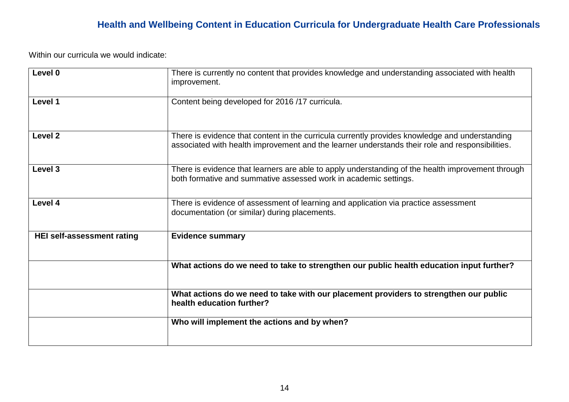| Level 0                           | There is currently no content that provides knowledge and understanding associated with health<br>improvement.                                                                                    |
|-----------------------------------|---------------------------------------------------------------------------------------------------------------------------------------------------------------------------------------------------|
| Level 1                           | Content being developed for 2016 /17 curricula.                                                                                                                                                   |
| Level <sub>2</sub>                | There is evidence that content in the curricula currently provides knowledge and understanding<br>associated with health improvement and the learner understands their role and responsibilities. |
| Level <sub>3</sub>                | There is evidence that learners are able to apply understanding of the health improvement through<br>both formative and summative assessed work in academic settings.                             |
| Level 4                           | There is evidence of assessment of learning and application via practice assessment<br>documentation (or similar) during placements.                                                              |
| <b>HEI self-assessment rating</b> | <b>Evidence summary</b>                                                                                                                                                                           |
|                                   | What actions do we need to take to strengthen our public health education input further?                                                                                                          |
|                                   | What actions do we need to take with our placement providers to strengthen our public<br>health education further?                                                                                |
|                                   | Who will implement the actions and by when?                                                                                                                                                       |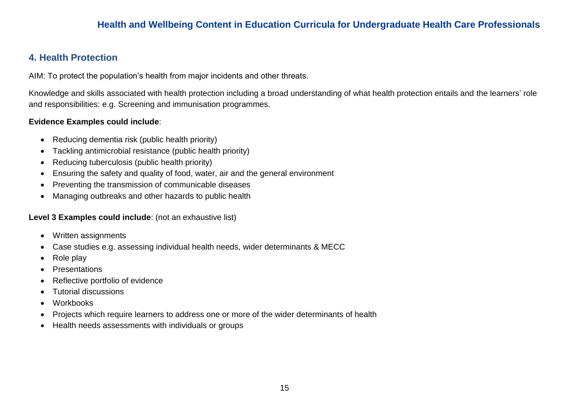### **4. Health Protection**

AIM: To protect the population's health from major incidents and other threats.

Knowledge and skills associated with health protection including a broad understanding of what health protection entails and the learners' role and responsibilities: e.g. Screening and immunisation programmes.

#### **Evidence Examples could include**:

- Reducing dementia risk (public health priority)
- Tackling antimicrobial resistance (public health priority)
- Reducing tuberculosis (public health priority)
- Ensuring the safety and quality of food, water, air and the general environment
- Preventing the transmission of communicable diseases
- Managing outbreaks and other hazards to public health

- Written assignments
- Case studies e.g. assessing individual health needs, wider determinants & MECC
- Role play
- **Presentations**
- Reflective portfolio of evidence
- Tutorial discussions
- Workbooks
- Projects which require learners to address one or more of the wider determinants of health
- Health needs assessments with individuals or groups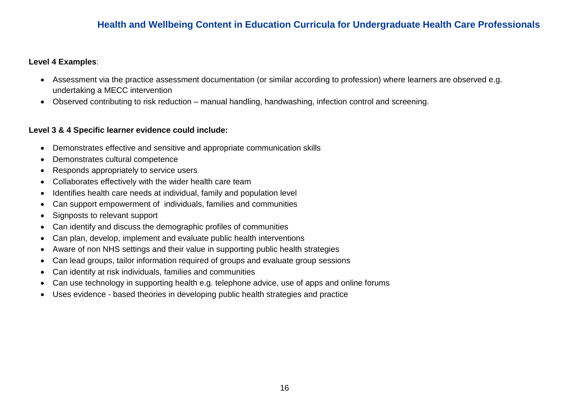#### **Level 4 Examples**:

- Assessment via the practice assessment documentation (or similar according to profession) where learners are observed e.g. undertaking a MECC intervention
- Observed contributing to risk reduction manual handling, handwashing, infection control and screening.

- Demonstrates effective and sensitive and appropriate communication skills
- Demonstrates cultural competence
- Responds appropriately to service users
- Collaborates effectively with the wider health care team
- Identifies health care needs at individual, family and population level
- Can support empowerment of individuals, families and communities
- Signposts to relevant support
- Can identify and discuss the demographic profiles of communities
- Can plan, develop, implement and evaluate public health interventions
- Aware of non NHS settings and their value in supporting public health strategies
- Can lead groups, tailor information required of groups and evaluate group sessions
- Can identify at risk individuals, families and communities
- Can use technology in supporting health e.g. telephone advice, use of apps and online forums
- Uses evidence based theories in developing public health strategies and practice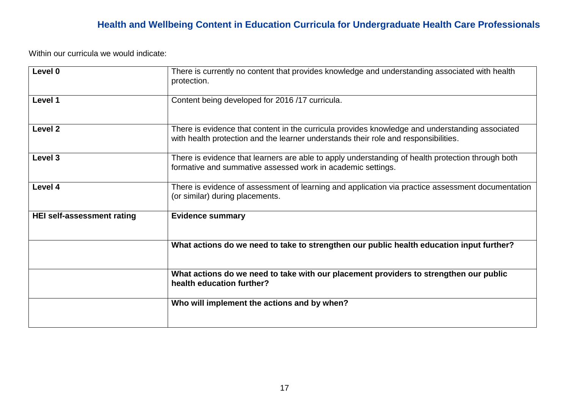| Level 0                           | There is currently no content that provides knowledge and understanding associated with health<br>protection.                                                                          |
|-----------------------------------|----------------------------------------------------------------------------------------------------------------------------------------------------------------------------------------|
| Level 1                           | Content being developed for 2016 /17 curricula.                                                                                                                                        |
| Level <sub>2</sub>                | There is evidence that content in the curricula provides knowledge and understanding associated<br>with health protection and the learner understands their role and responsibilities. |
| Level 3                           | There is evidence that learners are able to apply understanding of health protection through both<br>formative and summative assessed work in academic settings.                       |
| Level 4                           | There is evidence of assessment of learning and application via practice assessment documentation<br>(or similar) during placements.                                                   |
| <b>HEI self-assessment rating</b> | <b>Evidence summary</b>                                                                                                                                                                |
|                                   | What actions do we need to take to strengthen our public health education input further?                                                                                               |
|                                   | What actions do we need to take with our placement providers to strengthen our public<br>health education further?                                                                     |
|                                   | Who will implement the actions and by when?                                                                                                                                            |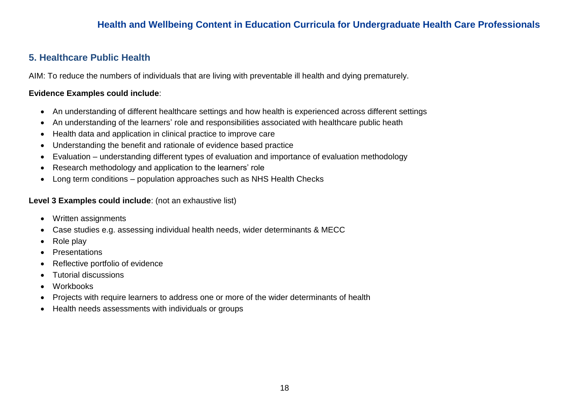### **5. Healthcare Public Health**

AIM: To reduce the numbers of individuals that are living with preventable ill health and dying prematurely.

#### **Evidence Examples could include**:

- An understanding of different healthcare settings and how health is experienced across different settings
- An understanding of the learners' role and responsibilities associated with healthcare public heath
- Health data and application in clinical practice to improve care
- Understanding the benefit and rationale of evidence based practice
- Evaluation understanding different types of evaluation and importance of evaluation methodology
- Research methodology and application to the learners' role
- Long term conditions population approaches such as NHS Health Checks

- Written assignments
- Case studies e.g. assessing individual health needs, wider determinants & MECC
- Role play
- Presentations
- Reflective portfolio of evidence
- Tutorial discussions
- Workbooks
- Projects with require learners to address one or more of the wider determinants of health
- Health needs assessments with individuals or groups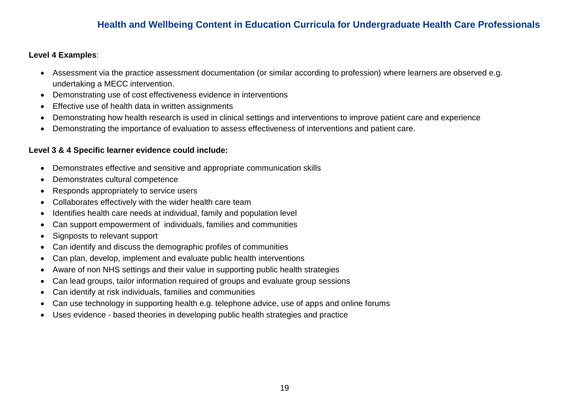#### **Level 4 Examples**:

- Assessment via the practice assessment documentation (or similar according to profession) where learners are observed e.g. undertaking a MECC intervention.
- Demonstrating use of cost effectiveness evidence in interventions
- Effective use of health data in written assignments
- Demonstrating how health research is used in clinical settings and interventions to improve patient care and experience
- Demonstrating the importance of evaluation to assess effectiveness of interventions and patient care.

- Demonstrates effective and sensitive and appropriate communication skills
- Demonstrates cultural competence
- Responds appropriately to service users
- Collaborates effectively with the wider health care team
- Identifies health care needs at individual, family and population level
- Can support empowerment of individuals, families and communities
- Signposts to relevant support
- Can identify and discuss the demographic profiles of communities
- Can plan, develop, implement and evaluate public health interventions
- Aware of non NHS settings and their value in supporting public health strategies
- Can lead groups, tailor information required of groups and evaluate group sessions
- Can identify at risk individuals, families and communities
- Can use technology in supporting health e.g. telephone advice, use of apps and online forums
- Uses evidence based theories in developing public health strategies and practice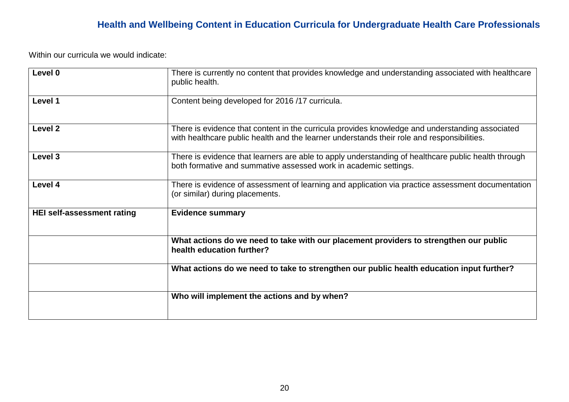| Level 0                           | There is currently no content that provides knowledge and understanding associated with healthcare<br>public health.                                                                          |
|-----------------------------------|-----------------------------------------------------------------------------------------------------------------------------------------------------------------------------------------------|
| Level 1                           | Content being developed for 2016 /17 curricula.                                                                                                                                               |
| Level <sub>2</sub>                | There is evidence that content in the curricula provides knowledge and understanding associated<br>with healthcare public health and the learner understands their role and responsibilities. |
| Level 3                           | There is evidence that learners are able to apply understanding of healthcare public health through<br>both formative and summative assessed work in academic settings.                       |
| Level 4                           | There is evidence of assessment of learning and application via practice assessment documentation<br>(or similar) during placements.                                                          |
| <b>HEI self-assessment rating</b> | <b>Evidence summary</b>                                                                                                                                                                       |
|                                   | What actions do we need to take with our placement providers to strengthen our public<br>health education further?                                                                            |
|                                   | What actions do we need to take to strengthen our public health education input further?                                                                                                      |
|                                   | Who will implement the actions and by when?                                                                                                                                                   |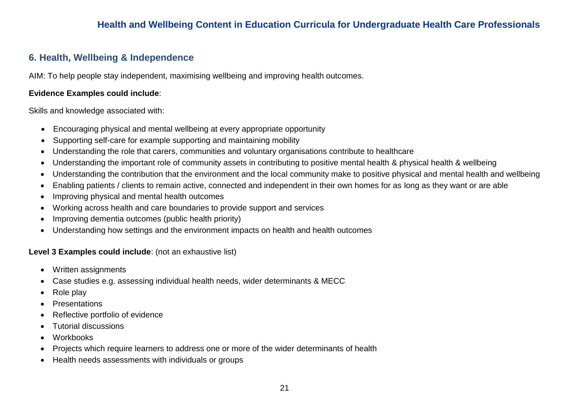### **6. Health, Wellbeing & Independence**

AIM: To help people stay independent, maximising wellbeing and improving health outcomes.

#### **Evidence Examples could include**:

Skills and knowledge associated with:

- Encouraging physical and mental wellbeing at every appropriate opportunity
- Supporting self-care for example supporting and maintaining mobility
- Understanding the role that carers, communities and voluntary organisations contribute to healthcare
- Understanding the important role of community assets in contributing to positive mental health & physical health & wellbeing
- Understanding the contribution that the environment and the local community make to positive physical and mental health and wellbeing
- Enabling patients / clients to remain active, connected and independent in their own homes for as long as they want or are able
- Improving physical and mental health outcomes
- Working across health and care boundaries to provide support and services
- Improving dementia outcomes (public health priority)
- Understanding how settings and the environment impacts on health and health outcomes

- Written assignments
- Case studies e.g. assessing individual health needs, wider determinants & MECC
- Role play
- Presentations
- Reflective portfolio of evidence
- Tutorial discussions
- **Workbooks**
- Projects which require learners to address one or more of the wider determinants of health
- Health needs assessments with individuals or groups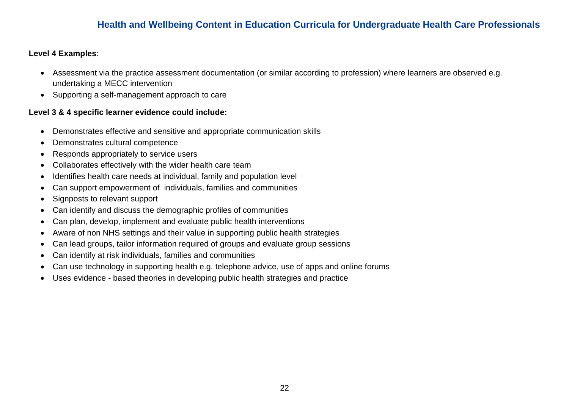#### **Level 4 Examples**:

- Assessment via the practice assessment documentation (or similar according to profession) where learners are observed e.g. undertaking a MECC intervention
- Supporting a self-management approach to care

- Demonstrates effective and sensitive and appropriate communication skills
- Demonstrates cultural competence
- Responds appropriately to service users
- Collaborates effectively with the wider health care team
- Identifies health care needs at individual, family and population level
- Can support empowerment of individuals, families and communities
- Signposts to relevant support
- Can identify and discuss the demographic profiles of communities
- Can plan, develop, implement and evaluate public health interventions
- Aware of non NHS settings and their value in supporting public health strategies
- Can lead groups, tailor information required of groups and evaluate group sessions
- Can identify at risk individuals, families and communities
- Can use technology in supporting health e.g. telephone advice, use of apps and online forums
- Uses evidence based theories in developing public health strategies and practice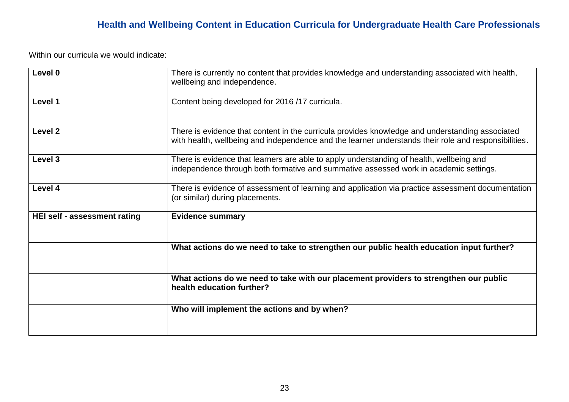| Level 0                      | There is currently no content that provides knowledge and understanding associated with health,<br>wellbeing and independence.                                                                          |
|------------------------------|---------------------------------------------------------------------------------------------------------------------------------------------------------------------------------------------------------|
| Level 1                      | Content being developed for 2016 /17 curricula.                                                                                                                                                         |
| Level <sub>2</sub>           | There is evidence that content in the curricula provides knowledge and understanding associated<br>with health, wellbeing and independence and the learner understands their role and responsibilities. |
| Level 3                      | There is evidence that learners are able to apply understanding of health, wellbeing and<br>independence through both formative and summative assessed work in academic settings.                       |
| Level 4                      | There is evidence of assessment of learning and application via practice assessment documentation<br>(or similar) during placements.                                                                    |
| HEI self - assessment rating | <b>Evidence summary</b>                                                                                                                                                                                 |
|                              | What actions do we need to take to strengthen our public health education input further?                                                                                                                |
|                              | What actions do we need to take with our placement providers to strengthen our public<br>health education further?                                                                                      |
|                              | Who will implement the actions and by when?                                                                                                                                                             |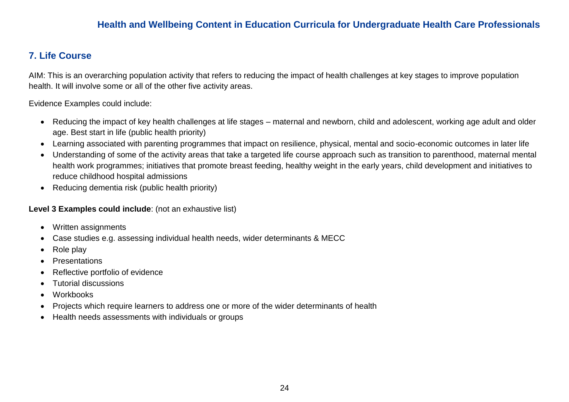### **7. Life Course**

AIM: This is an overarching population activity that refers to reducing the impact of health challenges at key stages to improve population health. It will involve some or all of the other five activity areas.

Evidence Examples could include:

- Reducing the impact of key health challenges at life stages maternal and newborn, child and adolescent, working age adult and older age. Best start in life (public health priority)
- Learning associated with parenting programmes that impact on resilience, physical, mental and socio-economic outcomes in later life
- Understanding of some of the activity areas that take a targeted life course approach such as transition to parenthood, maternal mental health work programmes; initiatives that promote breast feeding, healthy weight in the early years, child development and initiatives to reduce childhood hospital admissions
- Reducing dementia risk (public health priority)

- Written assignments
- Case studies e.g. assessing individual health needs, wider determinants & MECC
- Role play
- Presentations
- Reflective portfolio of evidence
- Tutorial discussions
- Workbooks
- Projects which require learners to address one or more of the wider determinants of health
- Health needs assessments with individuals or groups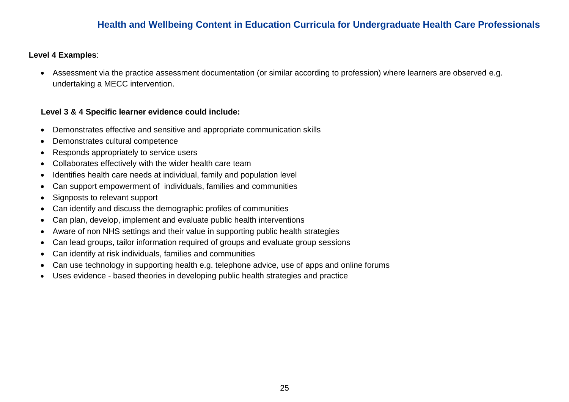#### **Level 4 Examples**:

 Assessment via the practice assessment documentation (or similar according to profession) where learners are observed e.g. undertaking a MECC intervention.

- Demonstrates effective and sensitive and appropriate communication skills
- Demonstrates cultural competence
- Responds appropriately to service users
- Collaborates effectively with the wider health care team
- Identifies health care needs at individual, family and population level
- Can support empowerment of individuals, families and communities
- Signposts to relevant support
- Can identify and discuss the demographic profiles of communities
- Can plan, develop, implement and evaluate public health interventions
- Aware of non NHS settings and their value in supporting public health strategies
- Can lead groups, tailor information required of groups and evaluate group sessions
- Can identify at risk individuals, families and communities
- Can use technology in supporting health e.g. telephone advice, use of apps and online forums
- Uses evidence based theories in developing public health strategies and practice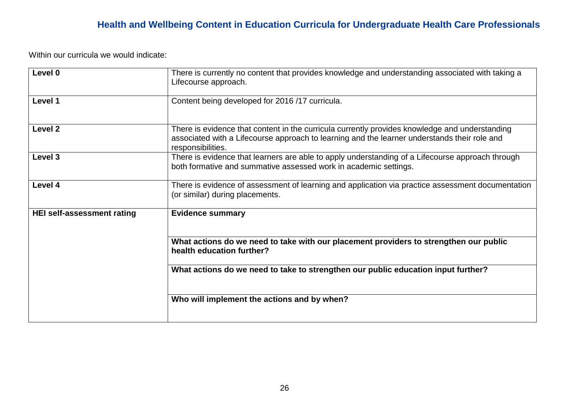| Level 0                           | There is currently no content that provides knowledge and understanding associated with taking a<br>Lifecourse approach.                                                                                            |
|-----------------------------------|---------------------------------------------------------------------------------------------------------------------------------------------------------------------------------------------------------------------|
| Level 1                           | Content being developed for 2016 /17 curricula.                                                                                                                                                                     |
| Level <sub>2</sub>                | There is evidence that content in the curricula currently provides knowledge and understanding<br>associated with a Lifecourse approach to learning and the learner understands their role and<br>responsibilities. |
| Level <sub>3</sub>                | There is evidence that learners are able to apply understanding of a Lifecourse approach through<br>both formative and summative assessed work in academic settings.                                                |
| Level 4                           | There is evidence of assessment of learning and application via practice assessment documentation<br>(or similar) during placements.                                                                                |
| <b>HEI self-assessment rating</b> | <b>Evidence summary</b>                                                                                                                                                                                             |
|                                   | What actions do we need to take with our placement providers to strengthen our public<br>health education further?                                                                                                  |
|                                   | What actions do we need to take to strengthen our public education input further?                                                                                                                                   |
|                                   | Who will implement the actions and by when?                                                                                                                                                                         |